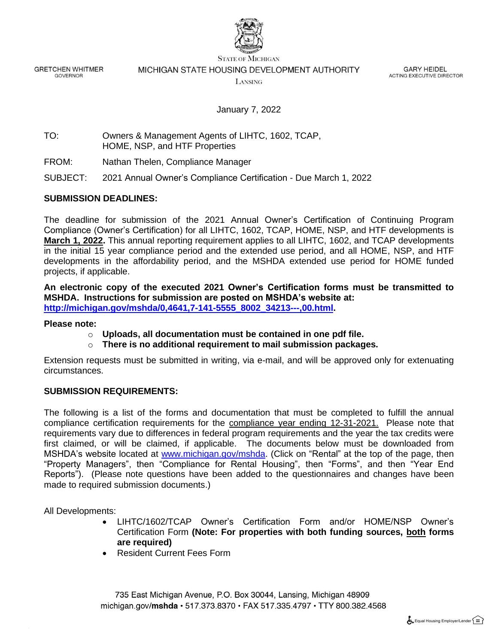

**GRETCHEN WHITMER GOVERNOR** 

#### **STATE OF MICHIGAN** MICHIGAN STATE HOUSING DEVELOPMENT AUTHORITY

LANSING

**GARY HEIDEL** ACTING EXECUTIVE DIRECTOR

# January 7, 2022

## TO: Owners & Management Agents of LIHTC, 1602, TCAP, HOME, NSP, and HTF Properties

FROM: Nathan Thelen, Compliance Manager

SUBJECT: 2021 Annual Owner's Compliance Certification - Due March 1, 2022

# **SUBMISSION DEADLINES:**

The deadline for submission of the 2021 Annual Owner's Certification of Continuing Program Compliance (Owner's Certification) for all LIHTC, 1602, TCAP, HOME, NSP, and HTF developments is **March 1, 2022.** This annual reporting requirement applies to all LIHTC, 1602, and TCAP developments in the initial 15 year compliance period and the extended use period, and all HOME, NSP, and HTF developments in the affordability period, and the MSHDA extended use period for HOME funded projects, if applicable.

**An electronic copy of the executed 2021 Owner's Certification forms must be transmitted to MSHDA. Instructions for submission are posted on MSHDA's website at: [http://michigan.gov/mshda/0,4641,7-141-5555\\_8002\\_34213---,00.html.](http://michigan.gov/mshda/0,4641,7-141-5555_8002_34213---,00.html)**

### **Please note:**

- o **Uploads, all documentation must be contained in one pdf file.**
- o **There is no additional requirement to mail submission packages.**

Extension requests must be submitted in writing, via e-mail, and will be approved only for extenuating circumstances.

### **SUBMISSION REQUIREMENTS:**

The following is a list of the forms and documentation that must be completed to fulfill the annual compliance certification requirements for the compliance year ending 12-31-2021. Please note that requirements vary due to differences in federal program requirements and the year the tax credits were first claimed, or will be claimed, if applicable. The documents below must be downloaded from MSHDA's website located at [www.michigan.gov/mshda.](http://www.michigan.gov/mshda) (Click on "Rental" at the top of the page, then "Property Managers", then "Compliance for Rental Housing", then "Forms", and then "Year End Reports"). (Please note questions have been added to the questionnaires and changes have been made to required submission documents.)

All Developments:

- LIHTC/1602/TCAP Owner's Certification Form and/or HOME/NSP Owner's Certification Form **(Note: For properties with both funding sources, both forms are required)**
- Resident Current Fees Form

735 East Michigan Avenue, P.O. Box 30044, Lansing, Michigan 48909 michigan.gov/mshda · 517.373.8370 · FAX 517.335.4797 · TTY 800.382.4568